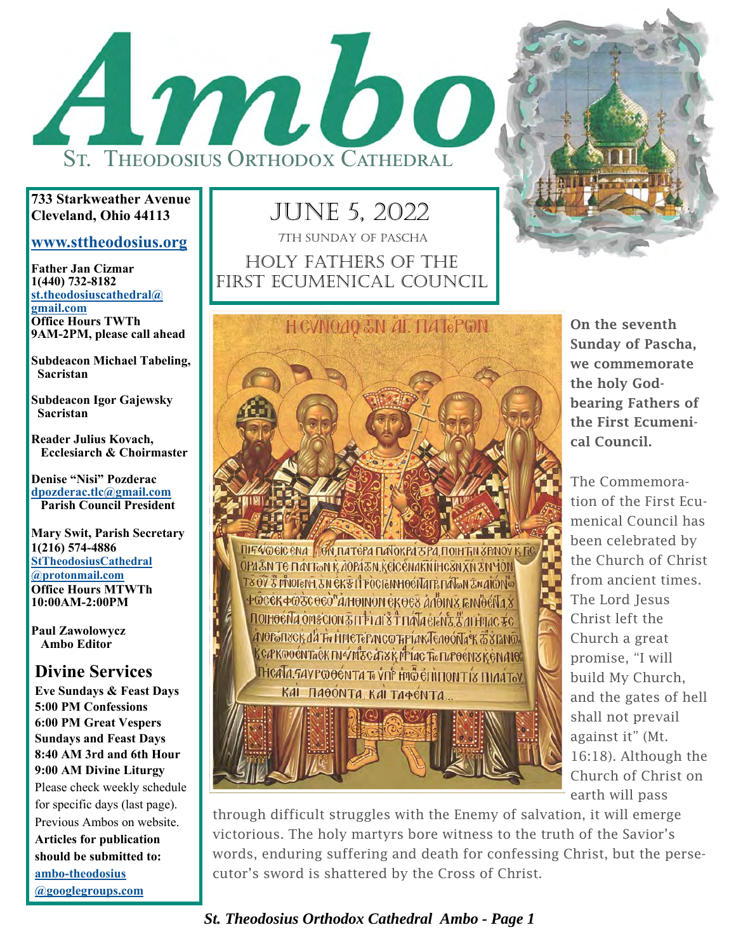

**733 Starkweather Avenue Cleveland, Ohio 44113** 

#### **www.sttheodosius.org**

**Father Jan Cizmar 1(440) 732-8182 st.theodosiuscathedral@ gmail.com Office Hours TWTh 9AM-2PM, please call ahead** 

**Subdeacon Michael Tabeling, Sacristan** 

**Subdeacon Igor Gajewsky Sacristan** 

**Reader Julius Kovach, Ecclesiarch & Choirmaster** 

**Denise "Nisi" Pozderac dpozderac.tlc@gmail.com Parish Council President** 

**Mary Swit, Parish Secretary 1(216) 574-4886 StTheodosiusCathedral @protonmail.com Office Hours MTWTh 10:00AM-2:00PM** 

**Paul Zawolowycz Ambo Editor** 

#### **Divine Services**

**Eve Sundays & Feast Days 5:00 PM Confessions 6:00 PM Great Vespers Sundays and Feast Days 8:40 AM 3rd and 6th Hour 9:00 AM Divine Liturgy**  Please check weekly schedule for specific days (last page). Previous Ambos on website. **Articles for publication should be submitted to: ambo-theodosius** 

**@googlegroups.com**

JUNE 5, 2022 HOLY FATHERS OF THE FIRST ECUMENICAL COUNCIL 7TH SUNDAY OF PASCHA



**ITIF VOCIC ENA AGN DATÉFA DA OKPAZEA DOIN EN SPAIOV K FIGU** OPA EN TE HAYTON KAOPA EN KEICENAKNIHC SNAN ZNYON **T8 OV 3 MUOTEN LEN EK & LI FOCTENHOEN A TE HATEN ZN AIGNES** ФФССКФФЗСӨСО"АЛЮІ ЮМ СКӨС ЗА АПОЛІЗ ГЕМОСЛА Х **NOIHOENA OMSCION ENTERAL STANA ELEME EN LITHUAC FC** АЛОРЫ ПЗСКАЙ Ти НИСТЕРАЛ СФТАРІАК ЛЕЛОО́ ЛА В ЗВАЛО. K CÆKOO ÉN TAÊK IN ÝMISC ATY K MEIAC TI. I JÆ O ÉNY K EN ANOE **HICATA.GAVPCOOÉNTA Te VIIP FMG EN HONT IS HIAATOV** КАІ ПАӨО́НТА, КАІ ТАФЕ́НТА...



On the seventh Sunday of Pascha, we commemorate the holy Godbearing Fathers of the First Ecumenical Council.

The Commemoration of the First Ecumenical Council has been celebrated by the Church of Christ from ancient times. The Lord Jesus Christ left the Church a great promise, "I will build My Church, and the gates of hell shall not prevail against it" (Mt. 16:18). Although the Church of Christ on earth will pass

through difficult struggles with the Enemy of salvation, it will emerge victorious. The holy martyrs bore witness to the truth of the Savior's words, enduring suffering and death for confessing Christ, but the persecutor's sword is shattered by the Cross of Christ.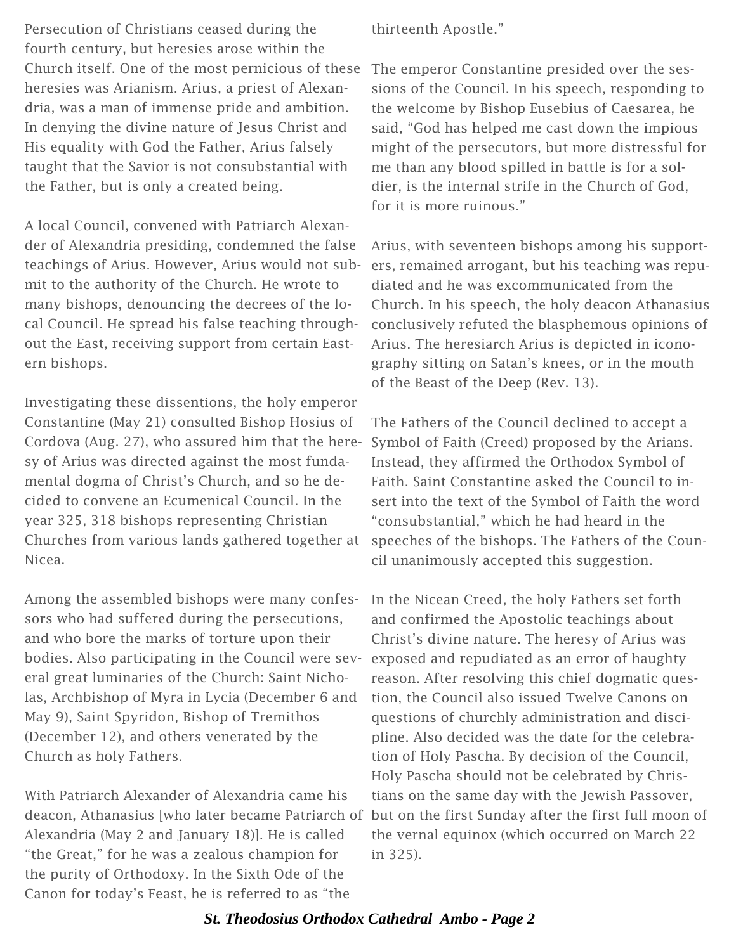Persecution of Christians ceased during the fourth century, but heresies arose within the Church itself. One of the most pernicious of these heresies was Arianism. Arius, a priest of Alexandria, was a man of immense pride and ambition. In denying the divine nature of Jesus Christ and His equality with God the Father, Arius falsely taught that the Savior is not consubstantial with the Father, but is only a created being.

A local Council, convened with Patriarch Alexander of Alexandria presiding, condemned the false teachings of Arius. However, Arius would not submit to the authority of the Church. He wrote to many bishops, denouncing the decrees of the local Council. He spread his false teaching throughout the East, receiving support from certain Eastern bishops.

Investigating these dissentions, the holy emperor Constantine (May 21) consulted Bishop Hosius of Cordova (Aug. 27), who assured him that the heresy of Arius was directed against the most fundamental dogma of Christ's Church, and so he decided to convene an Ecumenical Council. In the year 325, 318 bishops representing Christian Churches from various lands gathered together at Nicea.

Among the assembled bishops were many confessors who had suffered during the persecutions, and who bore the marks of torture upon their bodies. Also participating in the Council were several great luminaries of the Church: Saint Nicholas, Archbishop of Myra in Lycia (December 6 and May 9), Saint Spyridon, Bishop of Tremithos (December 12), and others venerated by the Church as holy Fathers.

With Patriarch Alexander of Alexandria came his deacon, Athanasius [who later became Patriarch of but on the first Sunday after the first full moon of Alexandria (May 2 and January 18)]. He is called "the Great," for he was a zealous champion for the purity of Orthodoxy. In the Sixth Ode of the Canon for today's Feast, he is referred to as "the

thirteenth Apostle."

The emperor Constantine presided over the sessions of the Council. In his speech, responding to the welcome by Bishop Eusebius of Caesarea, he said, "God has helped me cast down the impious might of the persecutors, but more distressful for me than any blood spilled in battle is for a soldier, is the internal strife in the Church of God, for it is more ruinous."

Arius, with seventeen bishops among his supporters, remained arrogant, but his teaching was repudiated and he was excommunicated from the Church. In his speech, the holy deacon Athanasius conclusively refuted the blasphemous opinions of Arius. The heresiarch Arius is depicted in iconography sitting on Satan's knees, or in the mouth of the Beast of the Deep (Rev. 13).

The Fathers of the Council declined to accept a Symbol of Faith (Creed) proposed by the Arians. Instead, they affirmed the Orthodox Symbol of Faith. Saint Constantine asked the Council to insert into the text of the Symbol of Faith the word "consubstantial," which he had heard in the speeches of the bishops. The Fathers of the Council unanimously accepted this suggestion.

In the Nicean Creed, the holy Fathers set forth and confirmed the Apostolic teachings about Christ's divine nature. The heresy of Arius was exposed and repudiated as an error of haughty reason. After resolving this chief dogmatic question, the Council also issued Twelve Canons on questions of churchly administration and discipline. Also decided was the date for the celebration of Holy Pascha. By decision of the Council, Holy Pascha should not be celebrated by Christians on the same day with the Jewish Passover, the vernal equinox (which occurred on March 22 in 325).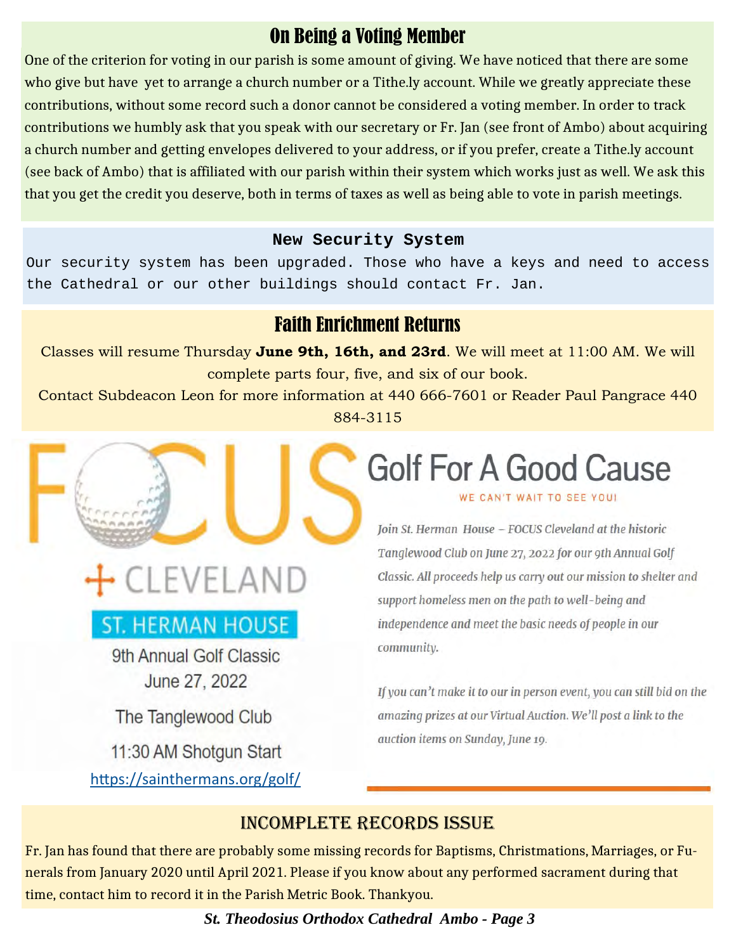### On Being a Voting Member

One of the criterion for voting in our parish is some amount of giving. We have noticed that there are some who give but have yet to arrange a church number or a Tithe.ly account. While we greatly appreciate these contributions, without some record such a donor cannot be considered a voting member. In order to track contributions we humbly ask that you speak with our secretary or Fr. Jan (see front of Ambo) about acquiring a church number and getting envelopes delivered to your address, or if you prefer, create a Tithe.ly account (see back of Ambo) that is affiliated with our parish within their system which works just as well. We ask this that you get the credit you deserve, both in terms of taxes as well as being able to vote in parish meetings.

#### **New Security System**

Our security system has been upgraded. Those who have a keys and need to access the Cathedral or our other buildings should contact Fr. Jan.

#### Faith Enrichment Returns

Classes will resume Thursday **June 9th, 16th, and 23rd**. We will meet at 11:00 AM. We will complete parts four, five, and six of our book.

Contact Subdeacon Leon for more information at 440 666-7601 or Reader Paul Pangrace 440 884-3115

# • CLEVELAND

## ST. HERMAN HOUSE

9th Annual Golf Classic June 27, 2022

The Tanglewood Club

11:30 AM Shotgun Start https://sainthermans.org/golf/

# **Golf For A Good Cause**

WE CAN'T WAIT TO SEE YOU!

Join St. Herman House - FOCUS Cleveland at the historic Tanglewood Club on June 27, 2022 for our 9th Annual Golf Classic. All proceeds help us carry out our mission to shelter and support homeless men on the path to well-being and independence and meet the basic needs of people in our community.

If you can't make it to our in person event, you can still bid on the amazing prizes at our Virtual Auction. We'll post a link to the auction items on Sunday, June 19.

#### INCOMPLETE RECORDS ISSUE

Fr. Jan has found that there are probably some missing records for Baptisms, Christmations, Marriages, or Funerals from January 2020 until April 2021. Please if you know about any performed sacrament during that time, contact him to record it in the Parish Metric Book. Thankyou.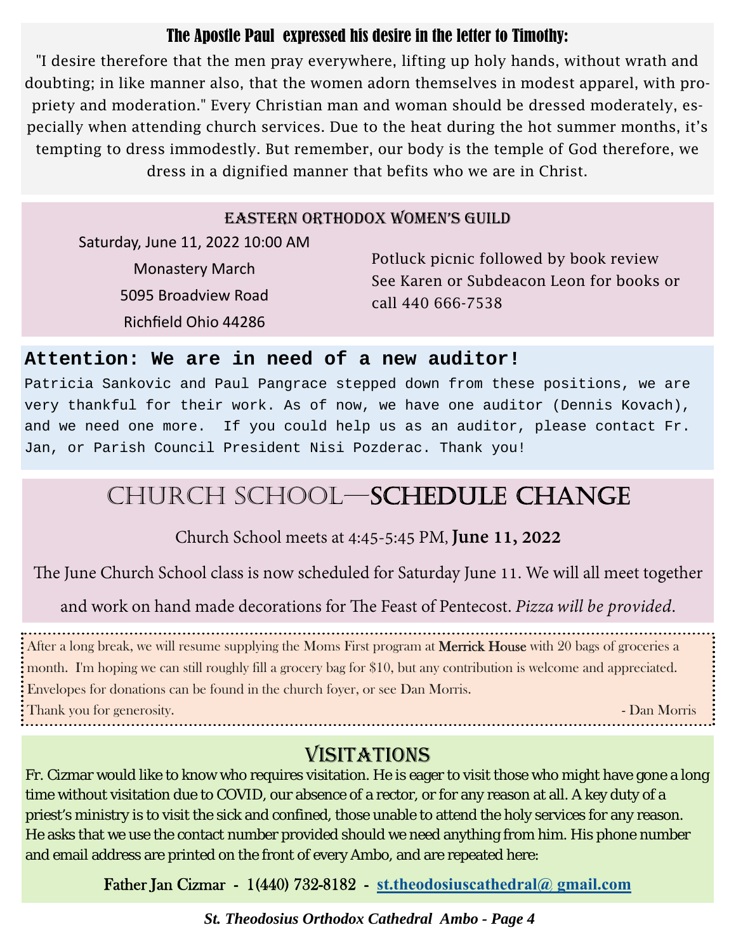#### The Apostle Paul expressed his desire in the letter to Timothy:

"I desire therefore that the men pray everywhere, lifting up holy hands, without wrath and doubting; in like manner also, that the women adorn themselves in modest apparel, with propriety and moderation." Every Christian man and woman should be dressed moderately, especially when attending church services. Due to the heat during the hot summer months, it's tempting to dress immodestly. But remember, our body is the temple of God therefore, we dress in a dignified manner that befits who we are in Christ.

#### EASTERN ORTHODOX WOMEN'S GUILD

Saturday, June 11, 2022 10:00 AM Monastery March 5095 Broadview Road Richfield Ohio 44286

Potluck picnic followed by book review See Karen or Subdeacon Leon for books or call 440 666-7538

#### **Attention: We are in need of a new auditor!**

Patricia Sankovic and Paul Pangrace stepped down from these positions, we are very thankful for their work. As of now, we have one auditor (Dennis Kovach), and we need one more. If you could help us as an auditor, please contact Fr. Jan, or Parish Council President Nisi Pozderac. Thank you!

## CHURCH SCHOOL—SCHEDULE CHANGE

### Church School meets at 4:45-5:45 PM, **June 11, 2022**

The June Church School class is now scheduled for Saturday June 11. We will all meet together

and work on hand made decorations for The Feast of Pentecost. *Pizza will be provided*.

After a long break, we will resume supplying the Moms First program at **Merrick House** with 20 bags of groceries a month. I'm hoping we can still roughly fill a grocery bag for \$10, but any contribution is welcome and appreciated. Envelopes for donations can be found in the church foyer, or see Dan Morris. Thank you for generosity. Thank you for generosity.

### VISITATIONS

Fr. Cizmar would like to know who requires visitation. He is eager to visit those who might have gone a long time without visitation due to COVID, our absence of a rector, or for any reason at all. A key duty of a priest's ministry is to visit the sick and confined, those unable to attend the holy services for any reason. He asks that we use the contact number provided should we need anything from him. His phone number and email address are printed on the front of every Ambo, and are repeated here:

Father Jan Cizmar - 1(440) 732-8182 - **st.theodosiuscathedral@ gmail.com**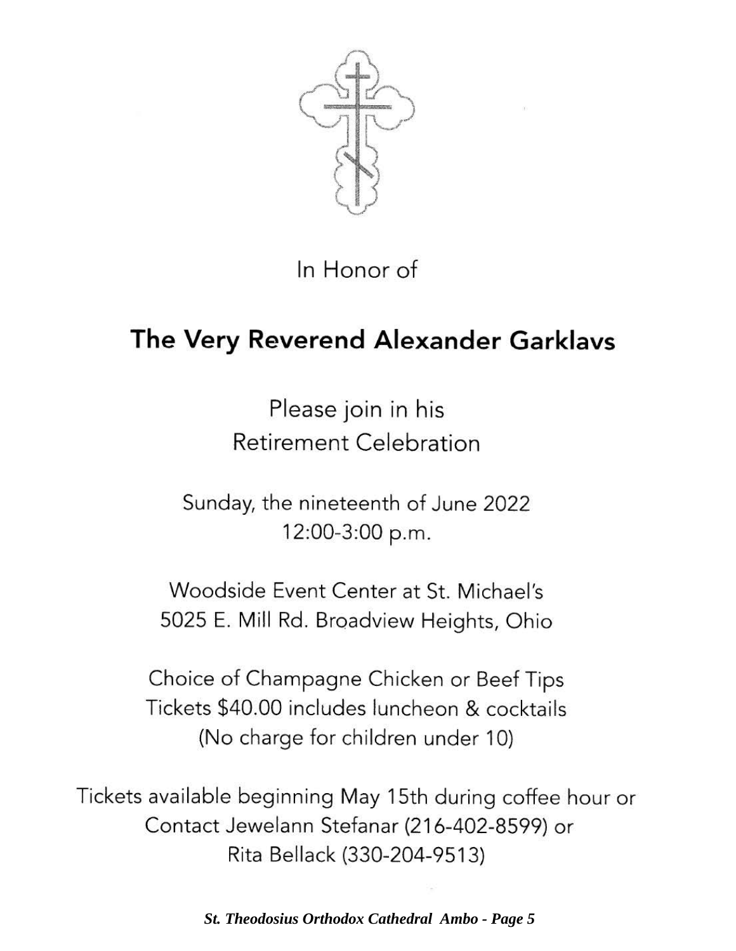

In Honor of

# **The Very Reverend Alexander Garklavs**

Please join in his Retirement Celebration

Sunday, the nineteenth of June 2022 12:00-3:00 p.m.

Woodside Event Center at St. Michael's 5025 E. Mill Rd. Broadview Heights, Ohio

Choice of Champagne Chicken or Beef Tips Tickets \$40.00 includes luncheon & cocktails (No charge for children under 10)

Tickets available beginning May 15th during coffee hour or Contact Jewelann Stefanar (216-402-8599) or Rita Bellack (330-204-9513)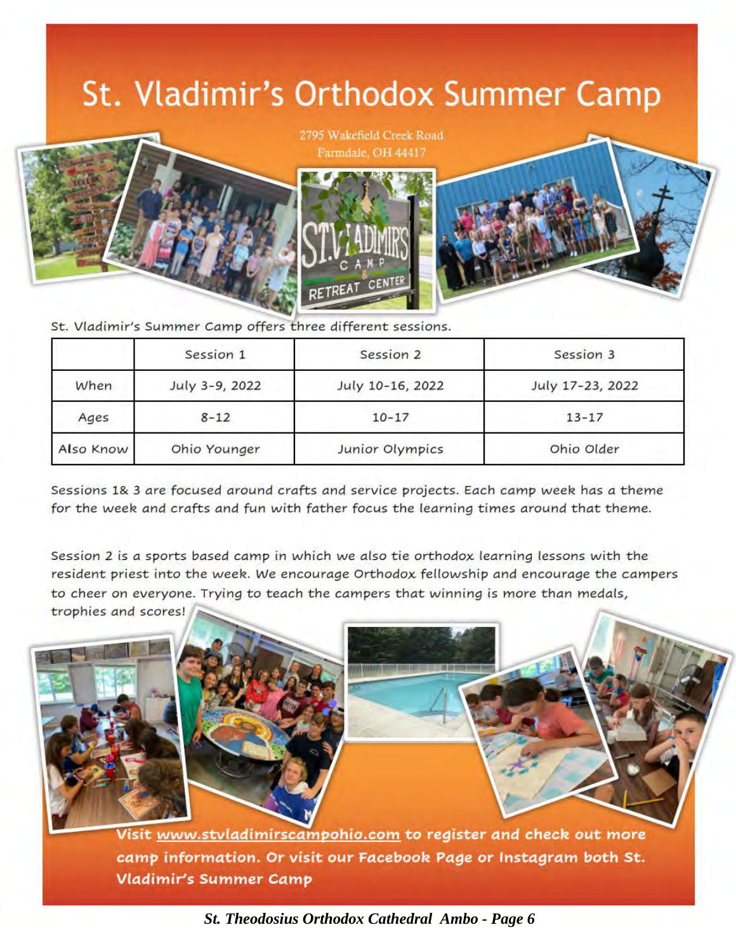# St. Vladimir's Orthodox Summer Camp



2795 Wakefield Creek Road Farmdale, OH 44417



St. Vladimir's Summer Camp offers three different sessions.

|           | Session 1      | Session 2        | Session 3        |
|-----------|----------------|------------------|------------------|
| When      | July 3-9, 2022 | July 10-16, 2022 | July 17-23, 2022 |
| Ages      | $8 - 12$       | $10 - 17$        | $13 - 17$        |
| Also Know | Ohio Younger   | Junior Olympics  | Ohio Older       |

Sessions 1& 3 are focused around crafts and service projects. Each camp week has a theme for the week and crafts and fun with father focus the learning times around that theme.

Session 2 is *a* sports *based camp* in which we *also* tie orthodox learning lessons with the resident priest into the week. We encourage Orthodox fellowship and encourage the campers to cheer on everyone. Trying to teach the *campers* that winning is *more* than *medals,*  trophies *and* scores!

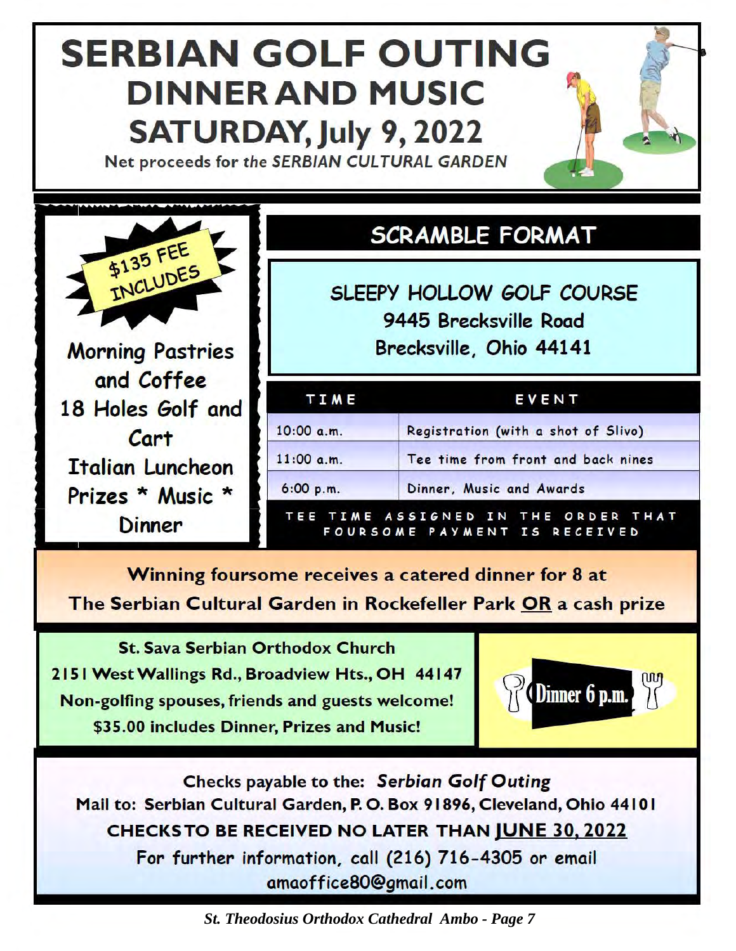# **SERBIAN** GOLF OUTING **DINNERAND MUSIC SATURDAY,July 9,** 2022

Net proceeds for the SERBIAN CULTURAL GARDEN



and Coffee 18 Holes Golf and Cart Italian Luncheon Prizes \* Music \* **Dinner** 

## **SCRAMBLE FORMAT**

SLEEPY HOLLOW GOLF COURSE 9445 Brecksville Road Brecksville, Ohio 44141

| TIME       | EVENT                               |  |  |
|------------|-------------------------------------|--|--|
| 10:00 a.m. | Registration (with a shot of Slivo) |  |  |
| 11:00 a.m. | Tee time from front and back nines  |  |  |
| 6:00 p.m.  | Dinner, Music and Awards            |  |  |

**Winning** foursome receives a catered dinner for 8 at The Serbian Cultural Garden in Rockefeller Park OR a cash prize

St. Sava Serbian Orthodox Church 2151 WestWallings Rd., Broadview Hts., OH 44147 Non-golfing spouses, friends and guests welcome! \$35.00 includes Dinner, Prizes and Music!



Checks payable to the: *Serbian Golf Outing*  Mail to: Serbian Cultural Garden, P. 0. Box 91896, Cleveland, Ohio 4410 I CHECKS TO BE RECEIVED NO LATER THAN JUNE 30, 2022 For further information, call (216) 716-4305 or email amaoff ice80@gmail.com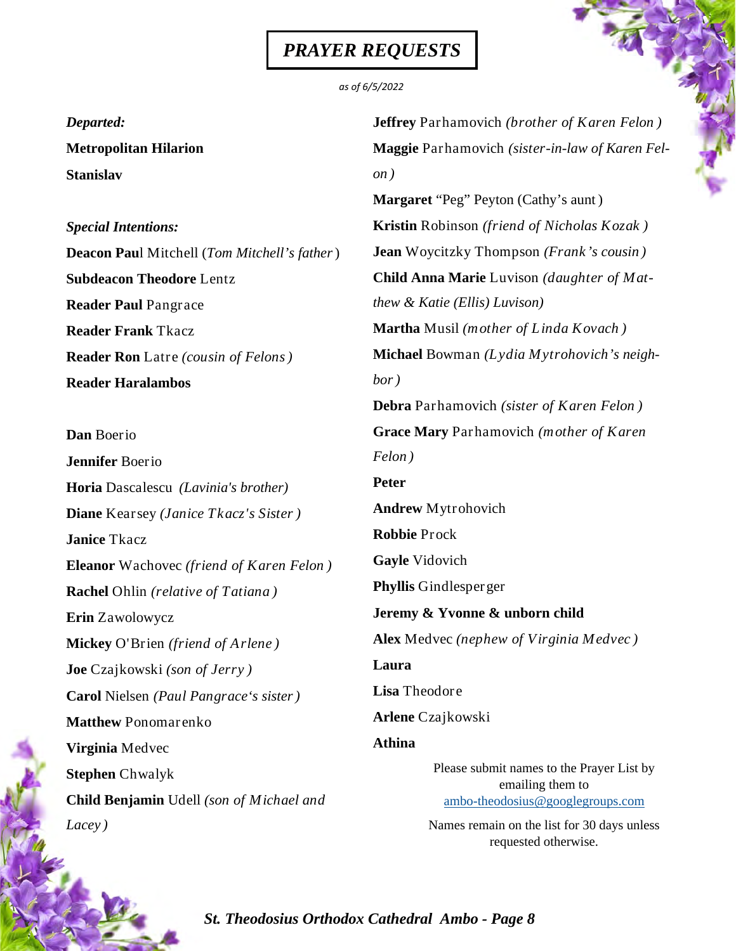#### *PRAYER REQUESTS*

#### *as of 6/5/2022*

*Departed:* 

**Metropolitan Hilarion Stanislav**

*Special Intentions:* **Deacon Pau**l Mitchell (*Tom Mitchell's father*) **Subdeacon Theodore** Lentz **Reader Paul** Pangrace **Reader Frank** Tkacz **Reader Ron** Latre *(cousin of Felons)* **Reader Haralambos**

**Dan** Boerio **Jennifer** Boerio **Horia** Dascalescu *(Lavinia's brother)*  **Diane** Kearsey *(Janice Tkacz's Sister )* **Janice** Tkacz **Eleanor** Wachovec *(friend of Karen Felon )*  **Rachel** Ohlin *(relative of Tatiana )*  **Erin** Zawolowycz **Mickey** O'Brien *(friend of Arlene )* **Joe** Czajkowski *(son of Jerry )*  **Carol** Nielsen *(Paul Pangrace's sister)*  **Matthew** Ponomarenko **Virginia** Medvec **Stephen** Chwalyk **Child Benjamin** Udell *(son of Michael and Lacey )* 

**Jeffrey** Parhamovich *(brother of Karen Felon )* **Maggie** Parhamovich *(sister-in-law of Karen Felon )*  **Margaret** "Peg" Peyton (Cathy's aunt ) **Kristin** Robinson *(friend of Nicholas Kozak )* **Jean** Woycitzky Thompson *(Frank's cousin )*  **Child Anna Marie** Luvison *(daughter of Matthew & Katie (Ellis) Luvison)*  **Martha** Musil *(mother of Linda Kovach )* **Michael** Bowman *(Lydia Mytrohovich's neighbor)* **Debra** Parhamovich *(sister of Karen Felon )* **Grace Mary** Parhamovich *(mother of Karen Felon )* **Peter Andrew** Mytrohovich **Robbie** Prock **Gayle** Vidovich **Phyllis** Gindlesperger **Jeremy & Yvonne & unborn child Alex** Medvec *(nephew of Virginia Medvec )*  **Laura Lisa** Theodore **Arlene** Czajkowski **Athina** Please submit names to the Prayer List by emailing them to ambo-theodosius@googlegroups.com

> Names remain on the list for 30 days unless requested otherwise.